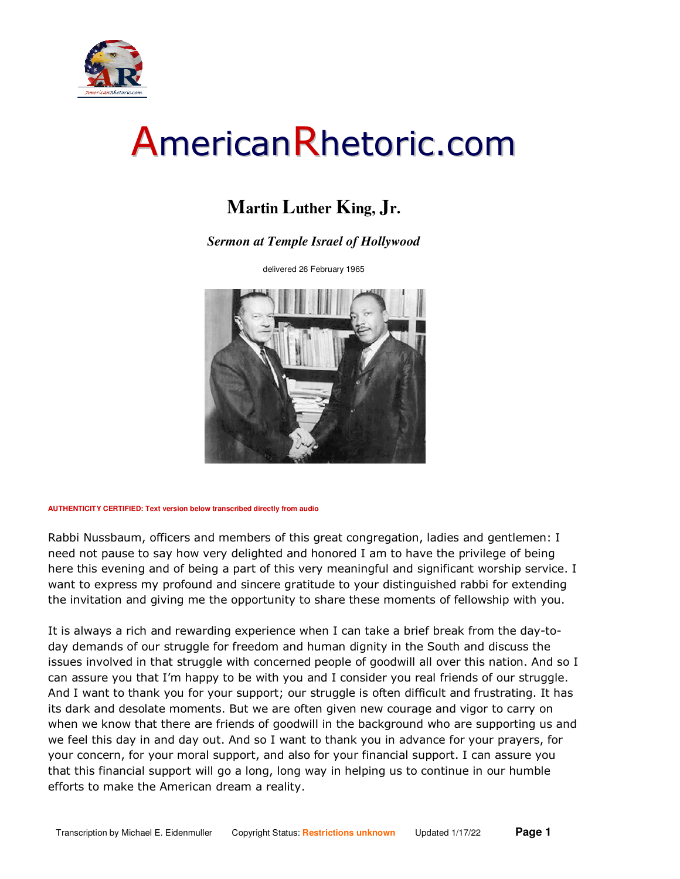

#### **Martin Luther King, Jr.**

#### *Sermon at Temple Israel of Hollywood*

delivered 26 February 1965



**AUTHENTICITY CERTIFIED: Text version below transcribed directly from audio** 

Rabbi Nussbaum, officers and members of this great congregation, ladies and gentlemen: I need not pause to say how very delighted and honored I am to have the privilege of being here this evening and of being a part of this very meaningful and significant worship service. I want to express my profound and sincere gratitude to your distinguished rabbi for extending the invitation and giving me the opportunity to share these moments of fellowship with you.

It is always a rich and rewarding experience when I can take a brief break from the day-today demands of our struggle for freedom and human dignity in the South and discuss the issues involved in that struggle with concerned people of goodwill all over this nation. And so I can assure you that I'm happy to be with you and I consider you real friends of our struggle. And I want to thank you for your support; our struggle is often difficult and frustrating. It has its dark and desolate moments. But we are often given new courage and vigor to carry on when we know that there are friends of goodwill in the background who are supporting us and we feel this day in and day out. And so I want to thank you in advance for your prayers, for your concern, for your moral support, and also for your financial support. I can assure you that this financial support will go a long, long way in helping us to continue in our humble efforts to make the American dream a reality.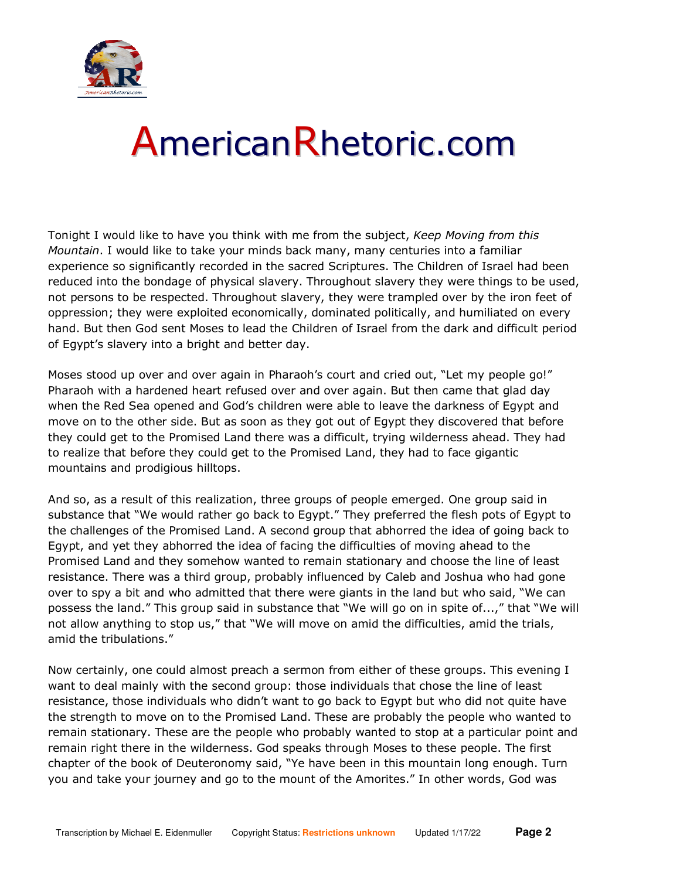

Tonight I would like to have you think with me from the subject, *Keep Moving from this Mountain*. I would like to take your minds back many, many centuries into a familiar experience so significantly recorded in the sacred Scriptures. The Children of Israel had been reduced into the bondage of physical slavery. Throughout slavery they were things to be used, not persons to be respected. Throughout slavery, they were trampled over by the iron feet of oppression; they were exploited economically, dominated politically, and humiliated on every hand. But then God sent Moses to lead the Children of Israel from the dark and difficult period of Egypt's slavery into a bright and better day.

Moses stood up over and over again in Pharaoh's court and cried out, "Let my people go!" Pharaoh with a hardened heart refused over and over again. But then came that glad day when the Red Sea opened and God's children were able to leave the darkness of Egypt and move on to the other side. But as soon as they got out of Egypt they discovered that before they could get to the Promised Land there was a difficult, trying wilderness ahead. They had to realize that before they could get to the Promised Land, they had to face gigantic mountains and prodigious hilltops.

And so, as a result of this realization, three groups of people emerged. One group said in substance that "We would rather go back to Egypt." They preferred the flesh pots of Egypt to the challenges of the Promised Land. A second group that abhorred the idea of going back to Egypt, and yet they abhorred the idea of facing the difficulties of moving ahead to the Promised Land and they somehow wanted to remain stationary and choose the line of least resistance. There was a third group, probably influenced by Caleb and Joshua who had gone over to spy a bit and who admitted that there were giants in the land but who said, "We can possess the land." This group said in substance that "We will go on in spite of...," that "We will not allow anything to stop us," that "We will move on amid the difficulties, amid the trials, amid the tribulations."

Now certainly, one could almost preach a sermon from either of these groups. This evening I want to deal mainly with the second group: those individuals that chose the line of least resistance, those individuals who didn't want to go back to Egypt but who did not quite have the strength to move on to the Promised Land. These are probably the people who wanted to remain stationary. These are the people who probably wanted to stop at a particular point and remain right there in the wilderness. God speaks through Moses to these people. The first chapter of the book of Deuteronomy said, "Ye have been in this mountain long enough. Turn you and take your journey and go to the mount of the Amorites." In other words, God was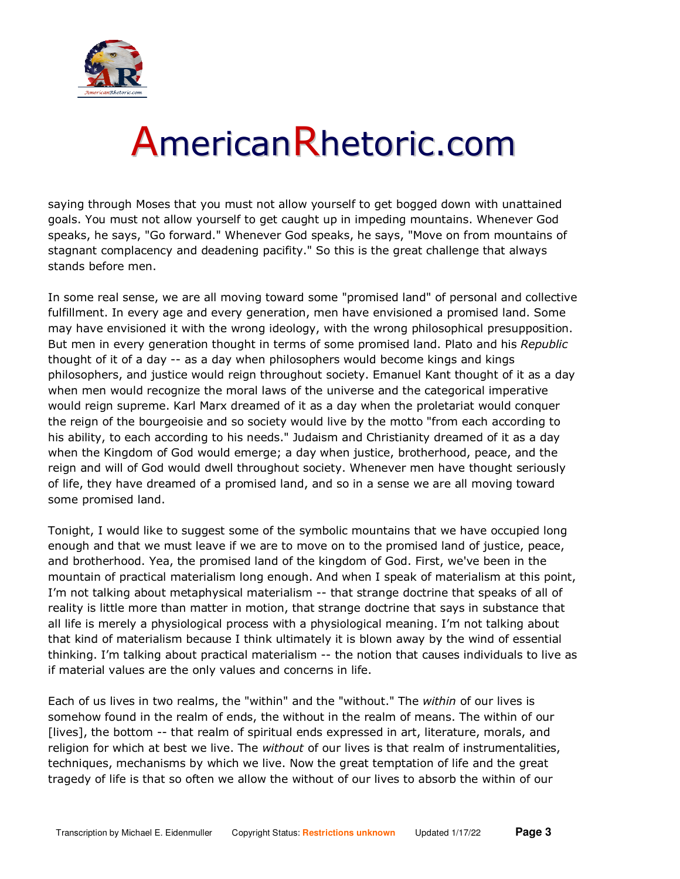

saying through Moses that you must not allow yourself to get bogged down with unattained goals. You must not allow yourself to get caught up in impeding mountains. Whenever God speaks, he says, "Go forward." Whenever God speaks, he says, "Move on from mountains of stagnant complacency and deadening pacifity." So this is the great challenge that always stands before men.

In some real sense, we are all moving toward some "promised land" of personal and collective fulfillment. In every age and every generation, men have envisioned a promised land. Some may have envisioned it with the wrong ideology, with the wrong philosophical presupposition. But men in every generation thought in terms of some promised land. Plato and his *Republic* thought of it of a day -- as a day when philosophers would become kings and kings philosophers, and justice would reign throughout society. Emanuel Kant thought of it as a day when men would recognize the moral laws of the universe and the categorical imperative would reign supreme. Karl Marx dreamed of it as a day when the proletariat would conquer the reign of the bourgeoisie and so society would live by the motto "from each according to his ability, to each according to his needs." Judaism and Christianity dreamed of it as a day when the Kingdom of God would emerge; a day when justice, brotherhood, peace, and the reign and will of God would dwell throughout society. Whenever men have thought seriously of life, they have dreamed of a promised land, and so in a sense we are all moving toward some promised land.

Tonight, I would like to suggest some of the symbolic mountains that we have occupied long enough and that we must leave if we are to move on to the promised land of justice, peace, and brotherhood. Yea, the promised land of the kingdom of God. First, we've been in the mountain of practical materialism long enough. And when I speak of materialism at this point, I'm not talking about metaphysical materialism -- that strange doctrine that speaks of all of reality is little more than matter in motion, that strange doctrine that says in substance that all life is merely a physiological process with a physiological meaning. I'm not talking about that kind of materialism because I think ultimately it is blown away by the wind of essential thinking. I'm talking about practical materialism -- the notion that causes individuals to live as if material values are the only values and concerns in life.

Each of us lives in two realms, the "within" and the "without." The *within* of our lives is somehow found in the realm of ends, the without in the realm of means. The within of our [lives], the bottom -- that realm of spiritual ends expressed in art, literature, morals, and religion for which at best we live. The *without* of our lives is that realm of instrumentalities, techniques, mechanisms by which we live. Now the great temptation of life and the great tragedy of life is that so often we allow the without of our lives to absorb the within of our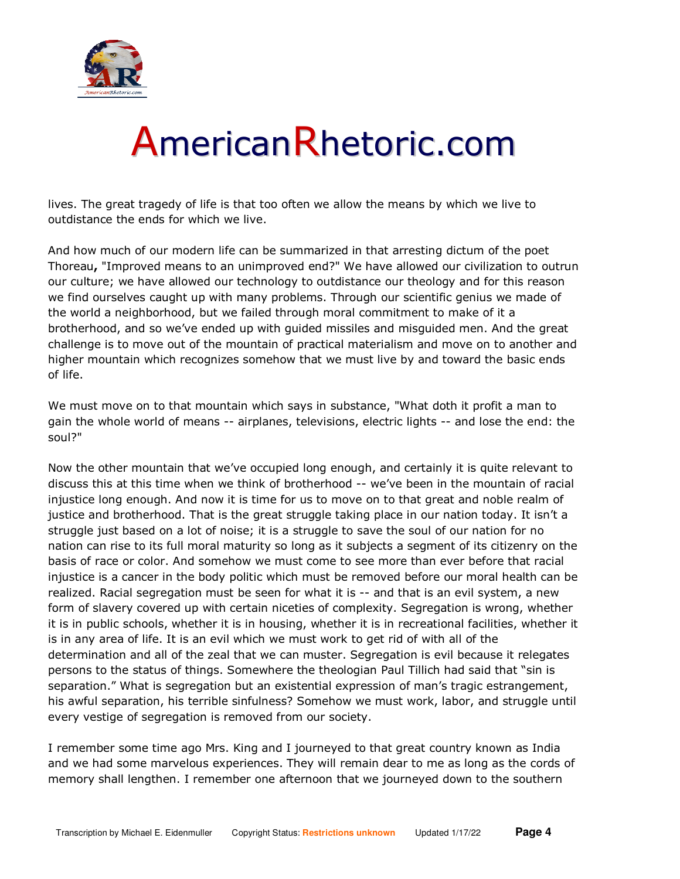

lives. The great tragedy of life is that too often we allow the means by which we live to outdistance the ends for which we live.

And how much of our modern life can be summarized in that arresting dictum of the poet Thoreau**,** "Improved means to an unimproved end?" We have allowed our civilization to outrun our culture; we have allowed our technology to outdistance our theology and for this reason we find ourselves caught up with many problems. Through our scientific genius we made of the world a neighborhood, but we failed through moral commitment to make of it a brotherhood, and so we've ended up with guided missiles and misguided men. And the great challenge is to move out of the mountain of practical materialism and move on to another and higher mountain which recognizes somehow that we must live by and toward the basic ends of life.

We must move on to that mountain which says in substance, "What doth it profit a man to gain the whole world of means -- airplanes, televisions, electric lights -- and lose the end: the soul?"

Now the other mountain that we've occupied long enough, and certainly it is quite relevant to discuss this at this time when we think of brotherhood -- we've been in the mountain of racial injustice long enough. And now it is time for us to move on to that great and noble realm of justice and brotherhood. That is the great struggle taking place in our nation today. It isn't a struggle just based on a lot of noise; it is a struggle to save the soul of our nation for no nation can rise to its full moral maturity so long as it subjects a segment of its citizenry on the basis of race or color. And somehow we must come to see more than ever before that racial injustice is a cancer in the body politic which must be removed before our moral health can be realized. Racial segregation must be seen for what it is -- and that is an evil system, a new form of slavery covered up with certain niceties of complexity. Segregation is wrong, whether it is in public schools, whether it is in housing, whether it is in recreational facilities, whether it is in any area of life. It is an evil which we must work to get rid of with all of the determination and all of the zeal that we can muster. Segregation is evil because it relegates persons to the status of things. Somewhere the theologian Paul Tillich had said that "sin is separation." What is segregation but an existential expression of man's tragic estrangement, his awful separation, his terrible sinfulness? Somehow we must work, labor, and struggle until every vestige of segregation is removed from our society.

I remember some time ago Mrs. King and I journeyed to that great country known as India and we had some marvelous experiences. They will remain dear to me as long as the cords of memory shall lengthen. I remember one afternoon that we journeyed down to the southern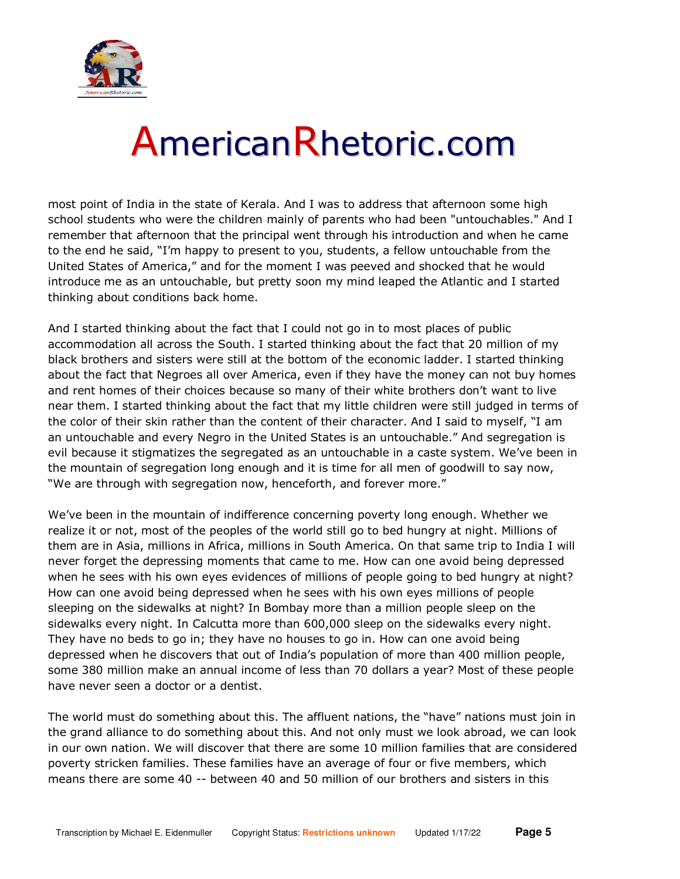

most point of India in the state of Kerala. And I was to address that afternoon some high school students who were the children mainly of parents who had been "untouchables." And I remember that afternoon that the principal went through his introduction and when he came to the end he said, "I'm happy to present to you, students, a fellow untouchable from the United States of America," and for the moment I was peeved and shocked that he would introduce me as an untouchable, but pretty soon my mind leaped the Atlantic and I started thinking about conditions back home.

And I started thinking about the fact that I could not go in to most places of public accommodation all across the South. I started thinking about the fact that 20 million of my black brothers and sisters were still at the bottom of the economic ladder. I started thinking about the fact that Negroes all over America, even if they have the money can not buy homes and rent homes of their choices because so many of their white brothers don't want to live near them. I started thinking about the fact that my little children were still judged in terms of the color of their skin rather than the content of their character. And I said to myself, "I am an untouchable and every Negro in the United States is an untouchable." And segregation is evil because it stigmatizes the segregated as an untouchable in a caste system. We've been in the mountain of segregation long enough and it is time for all men of goodwill to say now, "We are through with segregation now, henceforth, and forever more."

We've been in the mountain of indifference concerning poverty long enough. Whether we realize it or not, most of the peoples of the world still go to bed hungry at night. Millions of them are in Asia, millions in Africa, millions in South America. On that same trip to India I will never forget the depressing moments that came to me. How can one avoid being depressed when he sees with his own eyes evidences of millions of people going to bed hungry at night? How can one avoid being depressed when he sees with his own eyes millions of people sleeping on the sidewalks at night? In Bombay more than a million people sleep on the sidewalks every night. In Calcutta more than 600,000 sleep on the sidewalks every night. They have no beds to go in; they have no houses to go in. How can one avoid being depressed when he discovers that out of India's population of more than 400 million people, some 380 million make an annual income of less than 70 dollars a year? Most of these people have never seen a doctor or a dentist.

The world must do something about this. The affluent nations, the "have" nations must join in the grand alliance to do something about this. And not only must we look abroad, we can look in our own nation. We will discover that there are some 10 million families that are considered poverty stricken families. These families have an average of four or five members, which means there are some 40 -- between 40 and 50 million of our brothers and sisters in this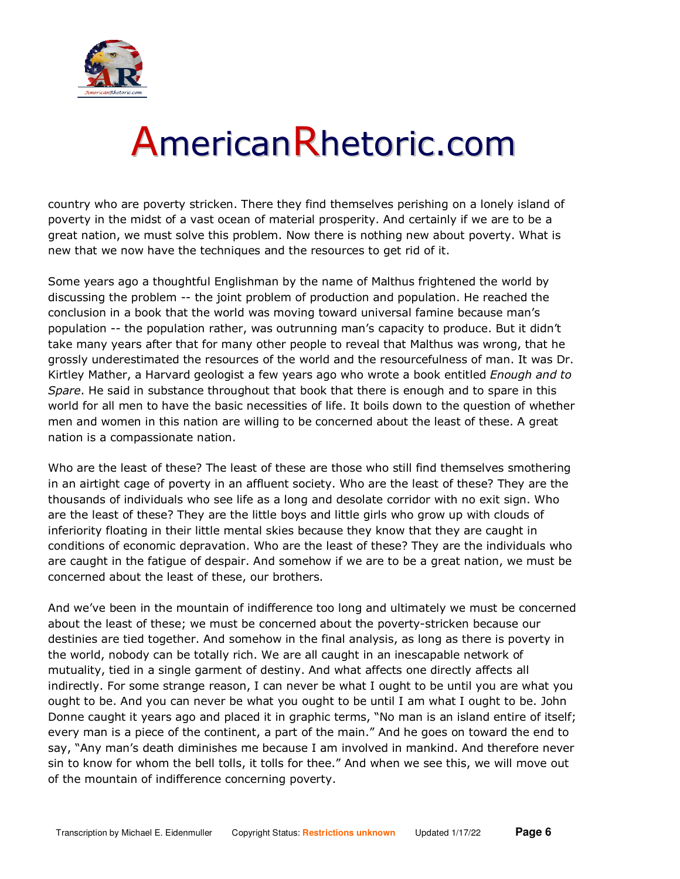

country who are poverty stricken. There they find themselves perishing on a lonely island of poverty in the midst of a vast ocean of material prosperity. And certainly if we are to be a great nation, we must solve this problem. Now there is nothing new about poverty. What is new that we now have the techniques and the resources to get rid of it.

Some years ago a thoughtful Englishman by the name of Malthus frightened the world by discussing the problem -- the joint problem of production and population. He reached the conclusion in a book that the world was moving toward universal famine because man's population -- the population rather, was outrunning man's capacity to produce. But it didn't take many years after that for many other people to reveal that Malthus was wrong, that he grossly underestimated the resources of the world and the resourcefulness of man. It was Dr. Kirtley Mather, a Harvard geologist a few years ago who wrote a book entitled *Enough and to Spare*. He said in substance throughout that book that there is enough and to spare in this world for all men to have the basic necessities of life. It boils down to the question of whether men and women in this nation are willing to be concerned about the least of these. A great nation is a compassionate nation.

Who are the least of these? The least of these are those who still find themselves smothering in an airtight cage of poverty in an affluent society. Who are the least of these? They are the thousands of individuals who see life as a long and desolate corridor with no exit sign. Who are the least of these? They are the little boys and little girls who grow up with clouds of inferiority floating in their little mental skies because they know that they are caught in conditions of economic depravation. Who are the least of these? They are the individuals who are caught in the fatigue of despair. And somehow if we are to be a great nation, we must be concerned about the least of these, our brothers.

And we've been in the mountain of indifference too long and ultimately we must be concerned about the least of these; we must be concerned about the poverty-stricken because our destinies are tied together. And somehow in the final analysis, as long as there is poverty in the world, nobody can be totally rich. We are all caught in an inescapable network of mutuality, tied in a single garment of destiny. And what affects one directly affects all indirectly. For some strange reason, I can never be what I ought to be until you are what you ought to be. And you can never be what you ought to be until I am what I ought to be. John Donne caught it years ago and placed it in graphic terms, "No man is an island entire of itself; every man is a piece of the continent, a part of the main." And he goes on toward the end to say, "Any man's death diminishes me because I am involved in mankind. And therefore never sin to know for whom the bell tolls, it tolls for thee." And when we see this, we will move out of the mountain of indifference concerning poverty.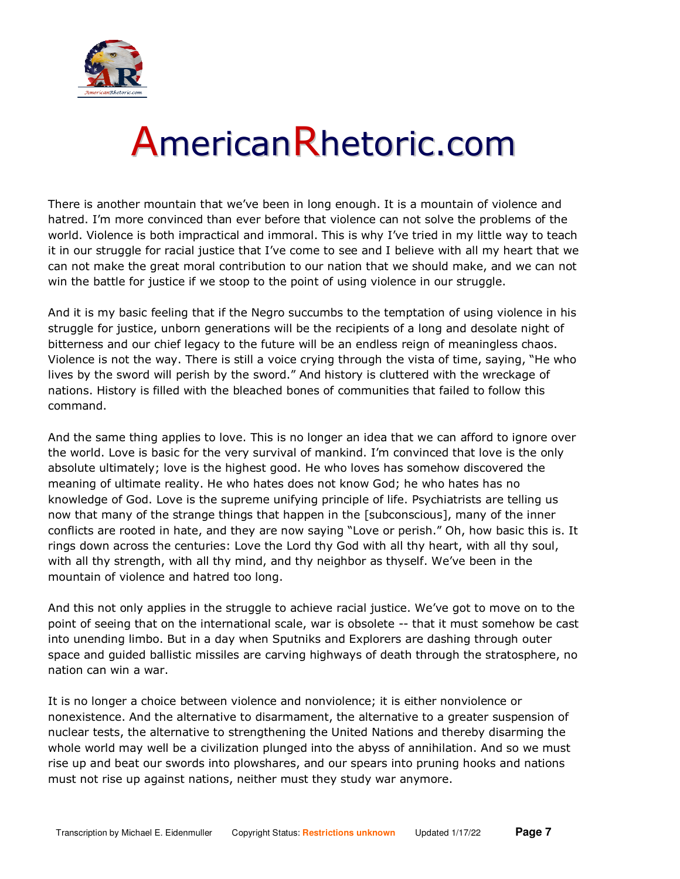

There is another mountain that we've been in long enough. It is a mountain of violence and hatred. I'm more convinced than ever before that violence can not solve the problems of the world. Violence is both impractical and immoral. This is why I've tried in my little way to teach it in our struggle for racial justice that I've come to see and I believe with all my heart that we can not make the great moral contribution to our nation that we should make, and we can not win the battle for justice if we stoop to the point of using violence in our struggle.

And it is my basic feeling that if the Negro succumbs to the temptation of using violence in his struggle for justice, unborn generations will be the recipients of a long and desolate night of bitterness and our chief legacy to the future will be an endless reign of meaningless chaos. Violence is not the way. There is still a voice crying through the vista of time, saying, "He who lives by the sword will perish by the sword." And history is cluttered with the wreckage of nations. History is filled with the bleached bones of communities that failed to follow this command.

And the same thing applies to love. This is no longer an idea that we can afford to ignore over the world. Love is basic for the very survival of mankind. I'm convinced that love is the only absolute ultimately; love is the highest good. He who loves has somehow discovered the meaning of ultimate reality. He who hates does not know God; he who hates has no knowledge of God. Love is the supreme unifying principle of life. Psychiatrists are telling us now that many of the strange things that happen in the [subconscious], many of the inner conflicts are rooted in hate, and they are now saying "Love or perish." Oh, how basic this is. It rings down across the centuries: Love the Lord thy God with all thy heart, with all thy soul, with all thy strength, with all thy mind, and thy neighbor as thyself. We've been in the mountain of violence and hatred too long.

And this not only applies in the struggle to achieve racial justice. We've got to move on to the point of seeing that on the international scale, war is obsolete -- that it must somehow be cast into unending limbo. But in a day when Sputniks and Explorers are dashing through outer space and guided ballistic missiles are carving highways of death through the stratosphere, no nation can win a war.

It is no longer a choice between violence and nonviolence; it is either nonviolence or nonexistence. And the alternative to disarmament, the alternative to a greater suspension of nuclear tests, the alternative to strengthening the United Nations and thereby disarming the whole world may well be a civilization plunged into the abyss of annihilation. And so we must rise up and beat our swords into plowshares, and our spears into pruning hooks and nations must not rise up against nations, neither must they study war anymore.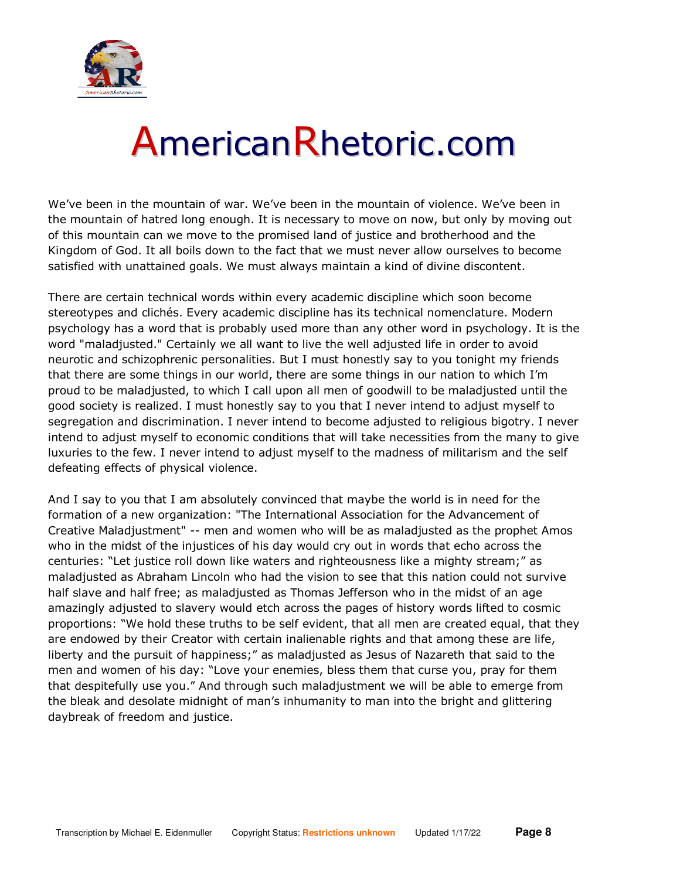

We've been in the mountain of war. We've been in the mountain of violence. We've been in the mountain of hatred long enough. It is necessary to move on now, but only by moving out of this mountain can we move to the promised land of justice and brotherhood and the Kingdom of God. It all boils down to the fact that we must never allow ourselves to become satisfied with unattained goals. We must always maintain a kind of divine discontent.

There are certain technical words within every academic discipline which soon become stereotypes and clichés. Every academic discipline has its technical nomenclature. Modern psychology has a word that is probably used more than any other word in psychology. It is the word "maladjusted." Certainly we all want to live the well adjusted life in order to avoid neurotic and schizophrenic personalities. But I must honestly say to you tonight my friends that there are some things in our world, there are some things in our nation to which I'm proud to be maladjusted, to which I call upon all men of goodwill to be maladjusted until the good society is realized. I must honestly say to you that I never intend to adjust myself to segregation and discrimination. I never intend to become adjusted to religious bigotry. I never intend to adjust myself to economic conditions that will take necessities from the many to give luxuries to the few. I never intend to adjust myself to the madness of militarism and the self defeating effects of physical violence.

And I say to you that I am absolutely convinced that maybe the world is in need for the formation of a new organization: "The International Association for the Advancement of Creative Maladjustment" -- men and women who will be as maladjusted as the prophet Amos who in the midst of the injustices of his day would cry out in words that echo across the centuries: "Let justice roll down like waters and righteousness like a mighty stream;" as maladjusted as Abraham Lincoln who had the vision to see that this nation could not survive half slave and half free; as maladjusted as Thomas Jefferson who in the midst of an age amazingly adjusted to slavery would etch across the pages of history words lifted to cosmic proportions: "We hold these truths to be self evident, that all men are created equal, that they are endowed by their Creator with certain inalienable rights and that among these are life, liberty and the pursuit of happiness;" as maladjusted as Jesus of Nazareth that said to the men and women of his day: "Love your enemies, bless them that curse you, pray for them that despitefully use you." And through such maladjustment we will be able to emerge from the bleak and desolate midnight of man's inhumanity to man into the bright and glittering daybreak of freedom and justice.